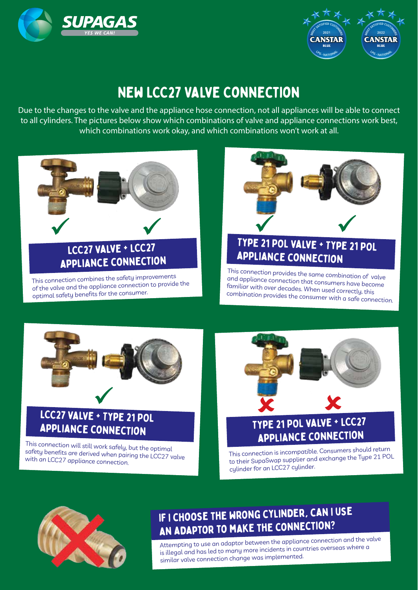



## New LCC27 Valve Connection

Due to the changes to the valve and the appliance hose connection, not all appliances will be able to connect to all cylinders. The pictures below show which combinations of valve and appliance connections work best, which combinations work okay, and which combinations won't work at all.



# appliance connection

This connection combines the safety improvements of the valve and the appliance connection to provide the optimal safety benefits for the consumer.



### Type 21 POL valve + Type 21 POL appliance connection

This connection provides the same combination of valve and appliance connection that consumers have become familiar with over decades. When used correctly, this combination provides the consumer with a safe connection.



### LCC27 valve + Type 21 POL appliance connection

This connection will still work safely, but the optimal safety benefits are derived when pairing the LCC27 valve with an LCC27 appliance connection.



### Type 21 POL valve + LCC27 appliance connection

This connection is incompatible. Consumers should return to their SupaSwap supplier and exchange the Type 21 POL cylinder for an LCC27 cylinder.



### If I choose the wrong cylinder, can I use an adaptor to make the connection?

Attempting to use an adaptor between the appliance connection and the valve is illegal and has led to many more incidents in countries overseas where a similar valve connection change was implemented.